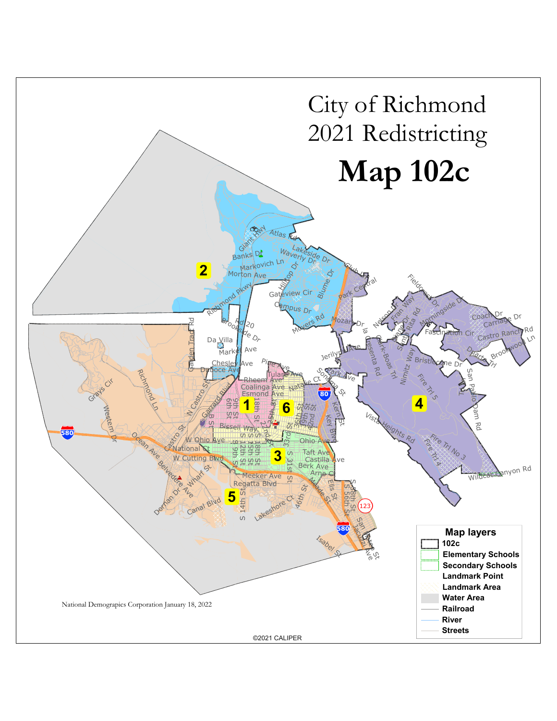